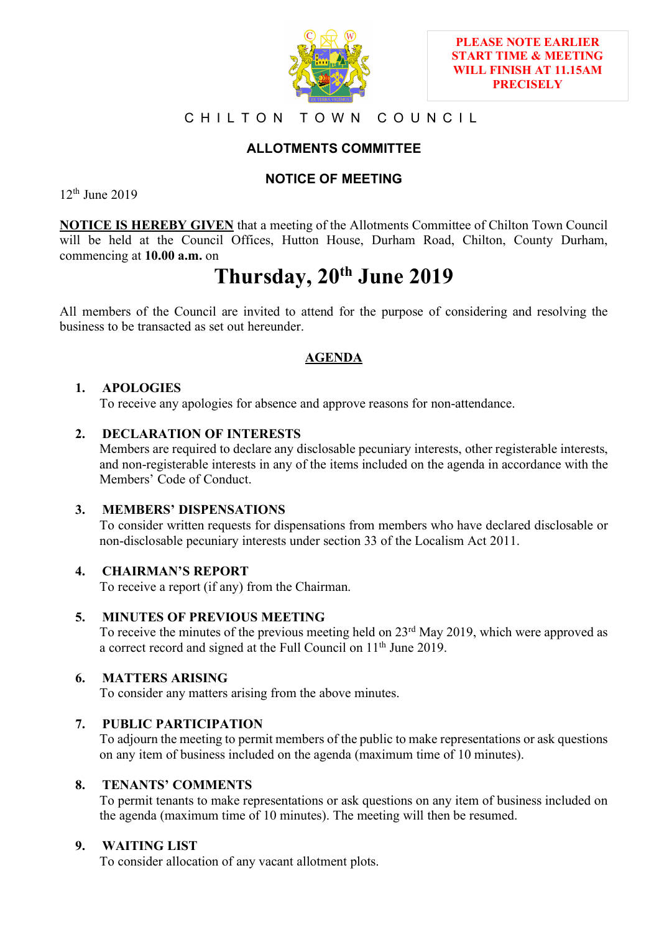

## CHILTON TOWN COUNCIL

# **ALLOTMENTS COMMITTEE**

## **NOTICE OF MEETING**

12th June 2019

**NOTICE IS HEREBY GIVEN** that a meeting of the Allotments Committee of Chilton Town Council will be held at the Council Offices, Hutton House, Durham Road, Chilton, County Durham, commencing at **10.00 a.m.** on

# **Thursday, 20th June 2019**

All members of the Council are invited to attend for the purpose of considering and resolving the business to be transacted as set out hereunder.

## **AGENDA**

## **1. APOLOGIES**

To receive any apologies for absence and approve reasons for non-attendance.

## **2. DECLARATION OF INTERESTS**

Members are required to declare any disclosable pecuniary interests, other registerable interests, and non-registerable interests in any of the items included on the agenda in accordance with the Members' Code of Conduct.

## **3. MEMBERS' DISPENSATIONS**

To consider written requests for dispensations from members who have declared disclosable or non-disclosable pecuniary interests under section 33 of the Localism Act 2011.

## **4. CHAIRMAN'S REPORT**

To receive a report (if any) from the Chairman.

## **5. MINUTES OF PREVIOUS MEETING**

To receive the minutes of the previous meeting held on 23<sup>rd</sup> May 2019, which were approved as a correct record and signed at the Full Council on 11th June 2019.

## **6. MATTERS ARISING**

To consider any matters arising from the above minutes.

## **7. PUBLIC PARTICIPATION**

To adjourn the meeting to permit members of the public to make representations or ask questions on any item of business included on the agenda (maximum time of 10 minutes).

#### **8. TENANTS' COMMENTS**

To permit tenants to make representations or ask questions on any item of business included on the agenda (maximum time of 10 minutes). The meeting will then be resumed.

#### **9. WAITING LIST**

To consider allocation of any vacant allotment plots.